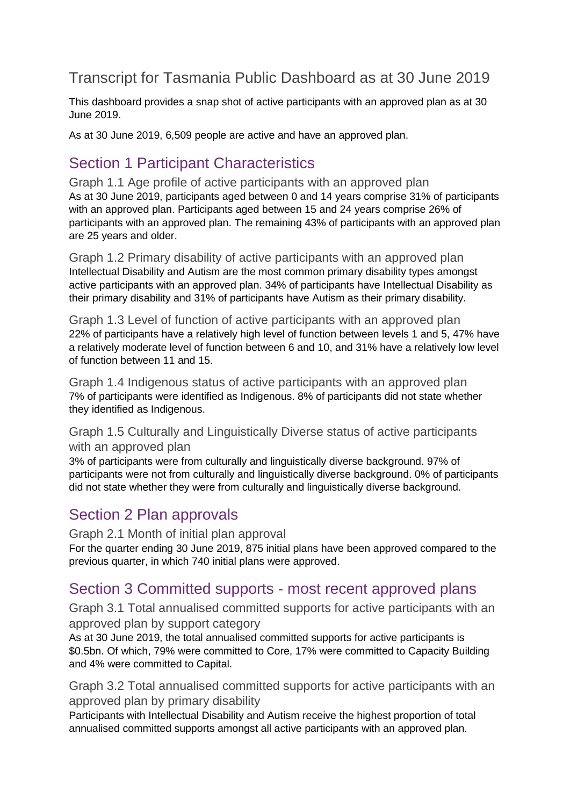# Transcript for Tasmania Public Dashboard as at 30 June 2019

This dashboard provides a snap shot of active participants with an approved plan as at 30 June 2019.

As at 30 June 2019, 6,509 people are active and have an approved plan.

## Section 1 Participant Characteristics

Graph 1.1 Age profile of active participants with an approved plan As at 30 June 2019, participants aged between 0 and 14 years comprise 31% of participants with an approved plan. Participants aged between 15 and 24 years comprise 26% of participants with an approved plan. The remaining 43% of participants with an approved plan are 25 years and older.

Graph 1.2 Primary disability of active participants with an approved plan Intellectual Disability and Autism are the most common primary disability types amongst active participants with an approved plan. 34% of participants have Intellectual Disability as their primary disability and 31% of participants have Autism as their primary disability.

Graph 1.3 Level of function of active participants with an approved plan 22% of participants have a relatively high level of function between levels 1 and 5, 47% have a relatively moderate level of function between 6 and 10, and 31% have a relatively low level of function between 11 and 15.

Graph 1.4 Indigenous status of active participants with an approved plan 7% of participants were identified as Indigenous. 8% of participants did not state whether they identified as Indigenous.

Graph 1.5 Culturally and Linguistically Diverse status of active participants with an approved plan

3% of participants were from culturally and linguistically diverse background. 97% of participants were not from culturally and linguistically diverse background. 0% of participants did not state whether they were from culturally and linguistically diverse background.

## Section 2 Plan approvals

Graph 2.1 Month of initial plan approval

For the quarter ending 30 June 2019, 875 initial plans have been approved compared to the previous quarter, in which 740 initial plans were approved.

## Section 3 Committed supports - most recent approved plans

Graph 3.1 Total annualised committed supports for active participants with an approved plan by support category

As at 30 June 2019, the total annualised committed supports for active participants is \$0.5bn. Of which, 79% were committed to Core, 17% were committed to Capacity Building and 4% were committed to Capital.

Graph 3.2 Total annualised committed supports for active participants with an approved plan by primary disability

Participants with Intellectual Disability and Autism receive the highest proportion of total annualised committed supports amongst all active participants with an approved plan.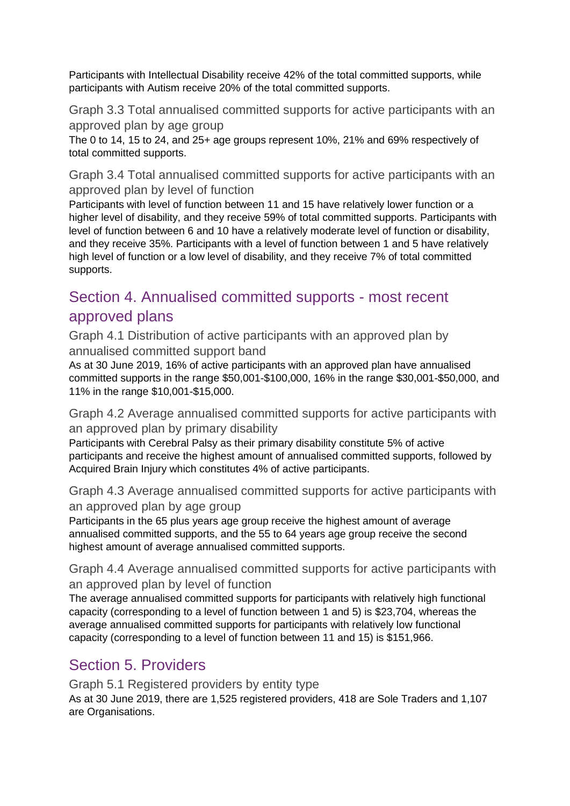Participants with Intellectual Disability receive 42% of the total committed supports, while participants with Autism receive 20% of the total committed supports.

Graph 3.3 Total annualised committed supports for active participants with an approved plan by age group

The 0 to 14, 15 to 24, and 25+ age groups represent 10%, 21% and 69% respectively of total committed supports.

Graph 3.4 Total annualised committed supports for active participants with an approved plan by level of function

Participants with level of function between 11 and 15 have relatively lower function or a higher level of disability, and they receive 59% of total committed supports. Participants with level of function between 6 and 10 have a relatively moderate level of function or disability, and they receive 35%. Participants with a level of function between 1 and 5 have relatively high level of function or a low level of disability, and they receive 7% of total committed supports.

# Section 4. Annualised committed supports - most recent approved plans

Graph 4.1 Distribution of active participants with an approved plan by annualised committed support band

As at 30 June 2019, 16% of active participants with an approved plan have annualised committed supports in the range \$50,001-\$100,000, 16% in the range \$30,001-\$50,000, and 11% in the range \$10,001-\$15,000.

Graph 4.2 Average annualised committed supports for active participants with an approved plan by primary disability

Participants with Cerebral Palsy as their primary disability constitute 5% of active participants and receive the highest amount of annualised committed supports, followed by Acquired Brain Injury which constitutes 4% of active participants.

Graph 4.3 Average annualised committed supports for active participants with an approved plan by age group

Participants in the 65 plus years age group receive the highest amount of average annualised committed supports, and the 55 to 64 years age group receive the second highest amount of average annualised committed supports.

Graph 4.4 Average annualised committed supports for active participants with an approved plan by level of function

The average annualised committed supports for participants with relatively high functional capacity (corresponding to a level of function between 1 and 5) is \$23,704, whereas the average annualised committed supports for participants with relatively low functional capacity (corresponding to a level of function between 11 and 15) is \$151,966.

# Section 5. Providers

Graph 5.1 Registered providers by entity type

As at 30 June 2019, there are 1,525 registered providers, 418 are Sole Traders and 1,107 are Organisations.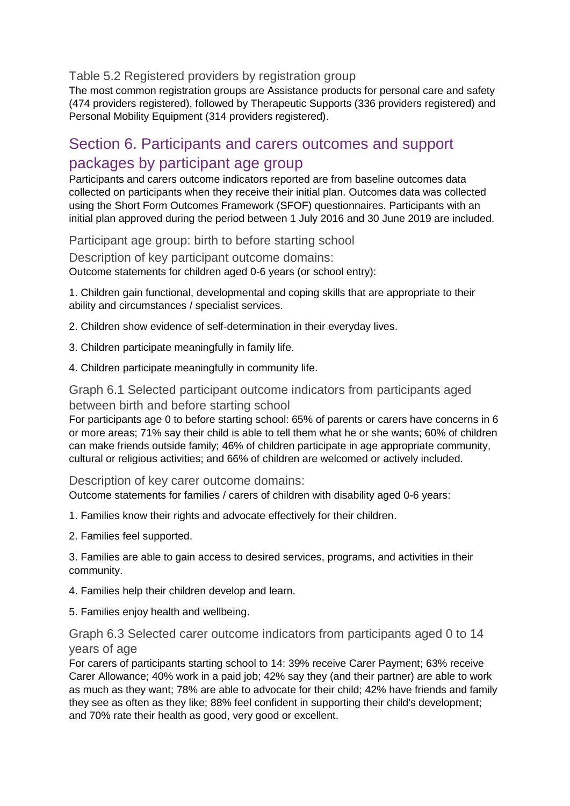Table 5.2 Registered providers by registration group

The most common registration groups are Assistance products for personal care and safety (474 providers registered), followed by Therapeutic Supports (336 providers registered) and Personal Mobility Equipment (314 providers registered).

## Section 6. Participants and carers outcomes and support packages by participant age group

Participants and carers outcome indicators reported are from baseline outcomes data collected on participants when they receive their initial plan. Outcomes data was collected using the Short Form Outcomes Framework (SFOF) questionnaires. Participants with an initial plan approved during the period between 1 July 2016 and 30 June 2019 are included.

Participant age group: birth to before starting school

Description of key participant outcome domains:

Outcome statements for children aged 0-6 years (or school entry):

1. Children gain functional, developmental and coping skills that are appropriate to their ability and circumstances / specialist services.

2. Children show evidence of self-determination in their everyday lives.

- 3. Children participate meaningfully in family life.
- 4. Children participate meaningfully in community life.

### Graph 6.1 Selected participant outcome indicators from participants aged between birth and before starting school

For participants age 0 to before starting school: 65% of parents or carers have concerns in 6 or more areas; 71% say their child is able to tell them what he or she wants; 60% of children can make friends outside family; 46% of children participate in age appropriate community, cultural or religious activities; and 66% of children are welcomed or actively included.

Description of key carer outcome domains:

Outcome statements for families / carers of children with disability aged 0-6 years:

- 1. Families know their rights and advocate effectively for their children.
- 2. Families feel supported.

3. Families are able to gain access to desired services, programs, and activities in their community.

- 4. Families help their children develop and learn.
- 5. Families enjoy health and wellbeing.

### Graph 6.3 Selected carer outcome indicators from participants aged 0 to 14 years of age

For carers of participants starting school to 14: 39% receive Carer Payment; 63% receive Carer Allowance; 40% work in a paid job; 42% say they (and their partner) are able to work as much as they want; 78% are able to advocate for their child; 42% have friends and family they see as often as they like; 88% feel confident in supporting their child's development; and 70% rate their health as good, very good or excellent.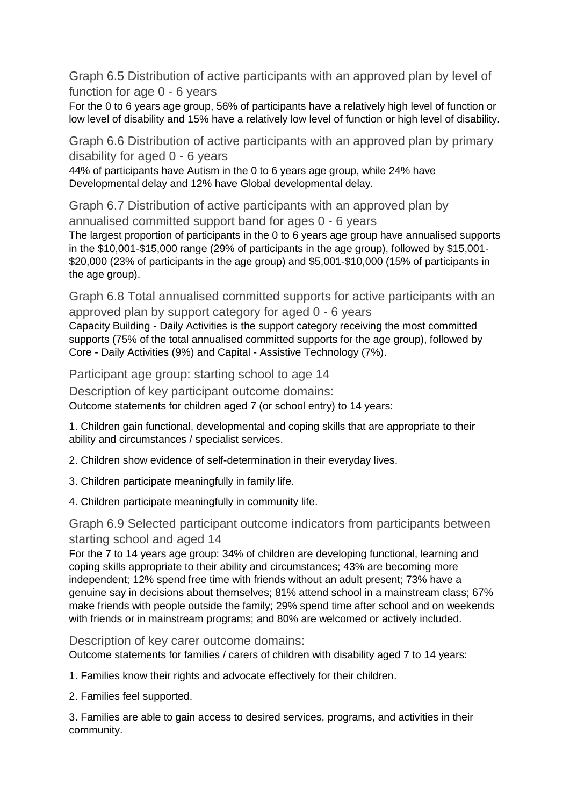Graph 6.5 Distribution of active participants with an approved plan by level of function for age 0 - 6 years

For the 0 to 6 years age group, 56% of participants have a relatively high level of function or low level of disability and 15% have a relatively low level of function or high level of disability.

Graph 6.6 Distribution of active participants with an approved plan by primary disability for aged 0 - 6 years

44% of participants have Autism in the 0 to 6 years age group, while 24% have Developmental delay and 12% have Global developmental delay.

Graph 6.7 Distribution of active participants with an approved plan by annualised committed support band for ages 0 - 6 years

The largest proportion of participants in the 0 to 6 years age group have annualised supports in the \$10,001-\$15,000 range (29% of participants in the age group), followed by \$15,001- \$20,000 (23% of participants in the age group) and \$5,001-\$10,000 (15% of participants in the age group).

Graph 6.8 Total annualised committed supports for active participants with an approved plan by support category for aged 0 - 6 years

Capacity Building - Daily Activities is the support category receiving the most committed supports (75% of the total annualised committed supports for the age group), followed by Core - Daily Activities (9%) and Capital - Assistive Technology (7%).

Participant age group: starting school to age 14

Description of key participant outcome domains: Outcome statements for children aged 7 (or school entry) to 14 years:

1. Children gain functional, developmental and coping skills that are appropriate to their ability and circumstances / specialist services.

2. Children show evidence of self-determination in their everyday lives.

- 3. Children participate meaningfully in family life.
- 4. Children participate meaningfully in community life.

### Graph 6.9 Selected participant outcome indicators from participants between starting school and aged 14

For the 7 to 14 years age group: 34% of children are developing functional, learning and coping skills appropriate to their ability and circumstances; 43% are becoming more independent; 12% spend free time with friends without an adult present; 73% have a genuine say in decisions about themselves; 81% attend school in a mainstream class; 67% make friends with people outside the family; 29% spend time after school and on weekends with friends or in mainstream programs; and 80% are welcomed or actively included.

Description of key carer outcome domains:

Outcome statements for families / carers of children with disability aged 7 to 14 years:

1. Families know their rights and advocate effectively for their children.

2. Families feel supported.

3. Families are able to gain access to desired services, programs, and activities in their community.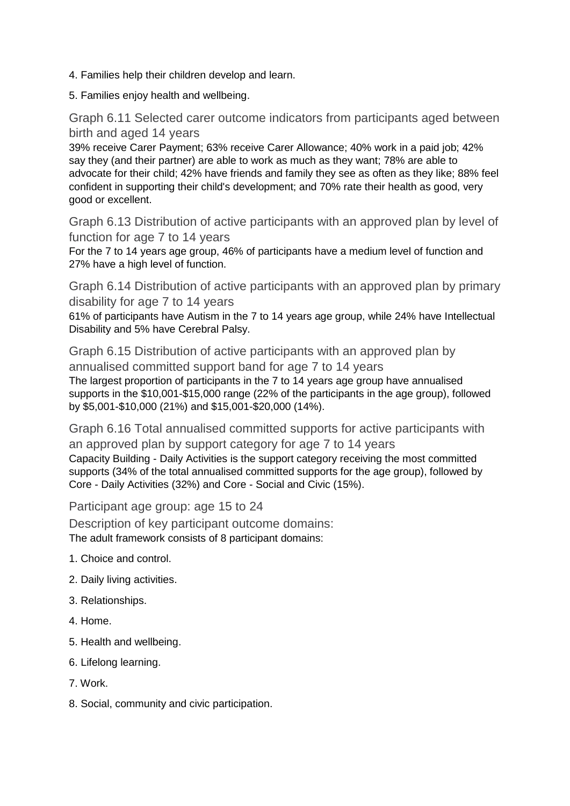- 4. Families help their children develop and learn.
- 5. Families enjoy health and wellbeing.

Graph 6.11 Selected carer outcome indicators from participants aged between birth and aged 14 years

39% receive Carer Payment; 63% receive Carer Allowance; 40% work in a paid job; 42% say they (and their partner) are able to work as much as they want; 78% are able to advocate for their child; 42% have friends and family they see as often as they like; 88% feel confident in supporting their child's development; and 70% rate their health as good, very good or excellent.

Graph 6.13 Distribution of active participants with an approved plan by level of function for age 7 to 14 years

For the 7 to 14 years age group, 46% of participants have a medium level of function and 27% have a high level of function.

Graph 6.14 Distribution of active participants with an approved plan by primary disability for age 7 to 14 years

61% of participants have Autism in the 7 to 14 years age group, while 24% have Intellectual Disability and 5% have Cerebral Palsy.

Graph 6.15 Distribution of active participants with an approved plan by annualised committed support band for age 7 to 14 years The largest proportion of participants in the 7 to 14 years age group have annualised supports in the \$10,001-\$15,000 range (22% of the participants in the age group), followed

by \$5,001-\$10,000 (21%) and \$15,001-\$20,000 (14%). Graph 6.16 Total annualised committed supports for active participants with

an approved plan by support category for age 7 to 14 years Capacity Building - Daily Activities is the support category receiving the most committed supports (34% of the total annualised committed supports for the age group), followed by Core - Daily Activities (32%) and Core - Social and Civic (15%).

Participant age group: age 15 to 24

Description of key participant outcome domains: The adult framework consists of 8 participant domains:

- 1. Choice and control.
- 2. Daily living activities.
- 3. Relationships.
- 4. Home.
- 5. Health and wellbeing.
- 6. Lifelong learning.
- 7. Work.
- 8. Social, community and civic participation.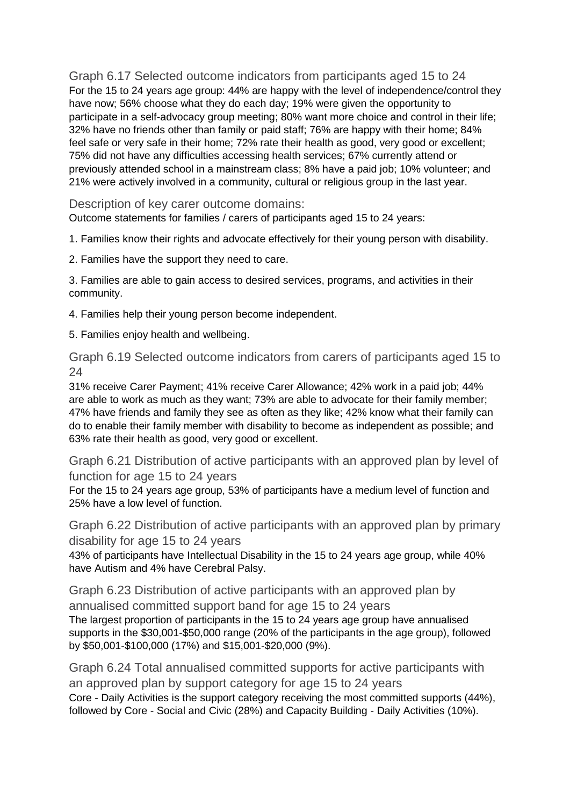Graph 6.17 Selected outcome indicators from participants aged 15 to 24 For the 15 to 24 years age group: 44% are happy with the level of independence/control they have now; 56% choose what they do each day; 19% were given the opportunity to participate in a self-advocacy group meeting; 80% want more choice and control in their life; 32% have no friends other than family or paid staff; 76% are happy with their home; 84% feel safe or very safe in their home; 72% rate their health as good, very good or excellent; 75% did not have any difficulties accessing health services; 67% currently attend or previously attended school in a mainstream class; 8% have a paid job; 10% volunteer; and 21% were actively involved in a community, cultural or religious group in the last year.

Description of key carer outcome domains:

Outcome statements for families / carers of participants aged 15 to 24 years:

1. Families know their rights and advocate effectively for their young person with disability.

2. Families have the support they need to care.

3. Families are able to gain access to desired services, programs, and activities in their community.

4. Families help their young person become independent.

5. Families enjoy health and wellbeing.

Graph 6.19 Selected outcome indicators from carers of participants aged 15 to 24

31% receive Carer Payment; 41% receive Carer Allowance; 42% work in a paid job; 44% are able to work as much as they want; 73% are able to advocate for their family member; 47% have friends and family they see as often as they like; 42% know what their family can do to enable their family member with disability to become as independent as possible; and 63% rate their health as good, very good or excellent.

Graph 6.21 Distribution of active participants with an approved plan by level of function for age 15 to 24 years

For the 15 to 24 years age group, 53% of participants have a medium level of function and 25% have a low level of function.

Graph 6.22 Distribution of active participants with an approved plan by primary disability for age 15 to 24 years

43% of participants have Intellectual Disability in the 15 to 24 years age group, while 40% have Autism and 4% have Cerebral Palsy.

Graph 6.23 Distribution of active participants with an approved plan by annualised committed support band for age 15 to 24 years The largest proportion of participants in the 15 to 24 years age group have annualised supports in the \$30,001-\$50,000 range (20% of the participants in the age group), followed by \$50,001-\$100,000 (17%) and \$15,001-\$20,000 (9%).

Graph 6.24 Total annualised committed supports for active participants with an approved plan by support category for age 15 to 24 years Core - Daily Activities is the support category receiving the most committed supports (44%), followed by Core - Social and Civic (28%) and Capacity Building - Daily Activities (10%).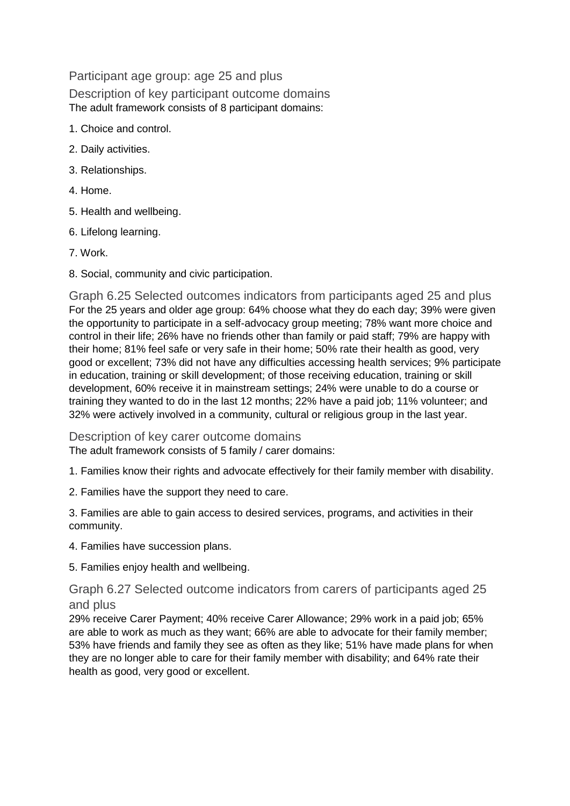Participant age group: age 25 and plus Description of key participant outcome domains The adult framework consists of 8 participant domains:

- 1. Choice and control.
- 2. Daily activities.
- 3. Relationships.
- 4. Home.
- 5. Health and wellbeing.
- 6. Lifelong learning.
- 7. Work.
- 8. Social, community and civic participation.

Graph 6.25 Selected outcomes indicators from participants aged 25 and plus For the 25 years and older age group: 64% choose what they do each day; 39% were given the opportunity to participate in a self-advocacy group meeting; 78% want more choice and control in their life; 26% have no friends other than family or paid staff; 79% are happy with their home; 81% feel safe or very safe in their home; 50% rate their health as good, very good or excellent; 73% did not have any difficulties accessing health services; 9% participate in education, training or skill development; of those receiving education, training or skill development, 60% receive it in mainstream settings; 24% were unable to do a course or training they wanted to do in the last 12 months; 22% have a paid job; 11% volunteer; and 32% were actively involved in a community, cultural or religious group in the last year.

Description of key carer outcome domains The adult framework consists of 5 family / carer domains:

1. Families know their rights and advocate effectively for their family member with disability.

2. Families have the support they need to care.

3. Families are able to gain access to desired services, programs, and activities in their community.

4. Families have succession plans.

5. Families enjoy health and wellbeing.

Graph 6.27 Selected outcome indicators from carers of participants aged 25 and plus

29% receive Carer Payment; 40% receive Carer Allowance; 29% work in a paid job; 65% are able to work as much as they want; 66% are able to advocate for their family member; 53% have friends and family they see as often as they like; 51% have made plans for when they are no longer able to care for their family member with disability; and 64% rate their health as good, very good or excellent.